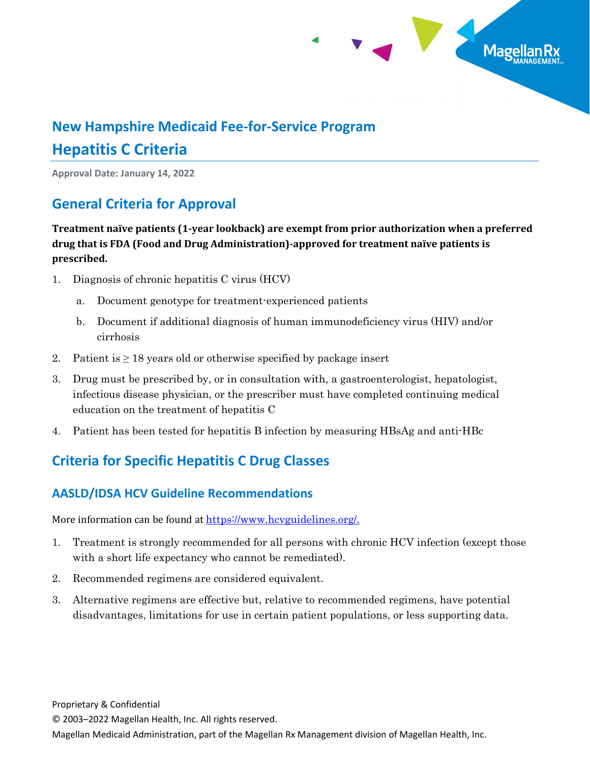

# **New Hampshire Medicaid Fee-for-Service Program Hepatitis C Criteria**

**Approval Date: January 14, 2022**

### **General Criteria for Approval**

**Treatment naïve patients (1-year lookback) are exempt from prior authorization when a preferred drug that is FDA (Food and Drug Administration)-approved for treatment naïve patients is prescribed.**

- 1. Diagnosis of chronic hepatitis C virus (HCV)
	- a. Document genotype for treatment-experienced patients
	- b. Document if additional diagnosis of human immunodeficiency virus (HIV) and/or cirrhosis
- 2. Patient is  $\geq$  18 years old or otherwise specified by package insert
- 3. Drug must be prescribed by, or in consultation with, a gastroenterologist, hepatologist, infectious disease physician, or the prescriber must have completed continuing medical education on the treatment of hepatitis C
- 4. Patient has been tested for hepatitis B infection by measuring HBsAg and anti-HBc

## **Criteria for Specific Hepatitis C Drug Classes**

### **AASLD/IDSA HCV Guideline Recommendations**

More information can be found at [https://www.hcvguidelines.org/.](https://www.hcvguidelines.org/)

- 1. Treatment is strongly recommended for all persons with chronic HCV infection (except those with a short life expectancy who cannot be remediated).
- 2. Recommended regimens are considered equivalent.
- 3. Alternative regimens are effective but, relative to recommended regimens, have potential disadvantages, limitations for use in certain patient populations, or less supporting data.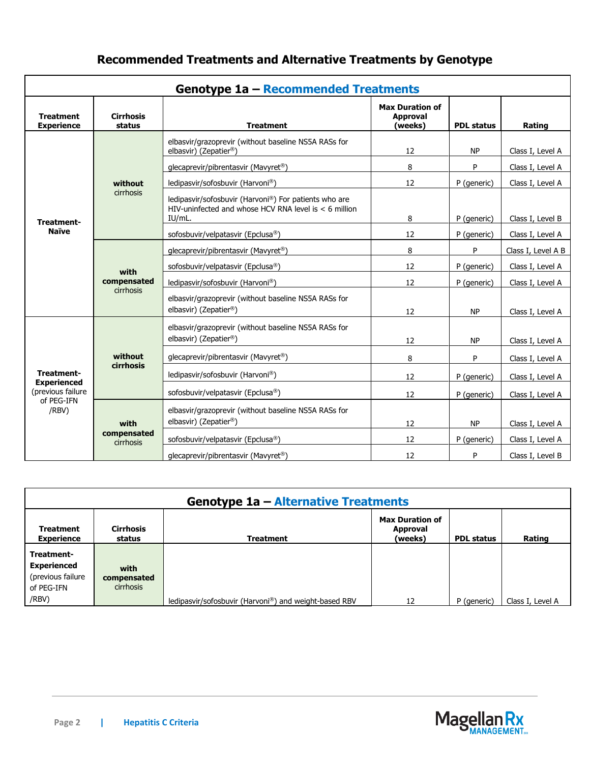### **Recommended Treatments and Alternative Treatments by Genotype**

| Genotype 1a - Recommended Treatments     |                                  |                                                                                                                            |                                                      |                   |                    |  |  |  |  |
|------------------------------------------|----------------------------------|----------------------------------------------------------------------------------------------------------------------------|------------------------------------------------------|-------------------|--------------------|--|--|--|--|
| <b>Treatment</b><br><b>Experience</b>    | <b>Cirrhosis</b><br>status       | <b>Treatment</b>                                                                                                           | <b>Max Duration of</b><br><b>Approval</b><br>(weeks) | <b>PDL status</b> | Rating             |  |  |  |  |
|                                          |                                  | elbasvir/grazoprevir (without baseline NS5A RASs for<br>elbasvir) (Zepatier®)                                              | 12                                                   | <b>NP</b>         | Class I, Level A   |  |  |  |  |
|                                          |                                  | glecaprevir/pibrentasvir (Mavyret®)                                                                                        | 8                                                    | P                 | Class I, Level A   |  |  |  |  |
|                                          | without                          | ledipasvir/sofosbuvir (Harvoni®)                                                                                           | 12                                                   | P (generic)       | Class I, Level A   |  |  |  |  |
|                                          | cirrhosis                        | ledipasvir/sofosbuvir (Harvoni®) For patients who are<br>HIV-uninfected and whose HCV RNA level is $<$ 6 million<br>IU/mL. | 8                                                    | P (generic)       | Class I, Level B   |  |  |  |  |
| Treatment-<br><b>Naïve</b>               |                                  | sofosbuvir/velpatasvir (Epclusa®)                                                                                          | 12                                                   | P (generic)       | Class I, Level A   |  |  |  |  |
|                                          |                                  | glecaprevir/pibrentasvir (Mavyret <sup>®</sup> )                                                                           | 8                                                    | P                 | Class I, Level A B |  |  |  |  |
|                                          | with<br>compensated<br>cirrhosis | sofosbuvir/velpatasvir (Epclusa®)                                                                                          | 12                                                   | P (generic)       | Class I, Level A   |  |  |  |  |
|                                          |                                  | ledipasvir/sofosbuvir (Harvoni®)                                                                                           | 12                                                   | P (generic)       | Class I, Level A   |  |  |  |  |
|                                          |                                  | elbasvir/grazoprevir (without baseline NS5A RASs for<br>elbasvir) (Zepatier®)                                              | 12                                                   | <b>NP</b>         | Class I, Level A   |  |  |  |  |
|                                          |                                  | elbasvir/grazoprevir (without baseline NS5A RASs for<br>elbasvir) (Zepatier®)                                              | 12                                                   | <b>NP</b>         | Class I, Level A   |  |  |  |  |
|                                          | without                          | glecaprevir/pibrentasvir (Mavyret <sup>®</sup> )                                                                           | 8                                                    | P                 | Class I, Level A   |  |  |  |  |
| Treatment-<br><b>Experienced</b>         | <b>cirrhosis</b>                 | ledipasvir/sofosbuvir (Harvoni®)                                                                                           | 12                                                   | P (generic)       | Class I, Level A   |  |  |  |  |
| (previous failure<br>of PEG-IFN<br>/RBV) |                                  | sofosbuvir/velpatasvir (Epclusa®)                                                                                          | 12                                                   | P (generic)       | Class I, Level A   |  |  |  |  |
|                                          | with                             | elbasvir/grazoprevir (without baseline NS5A RASs for<br>elbasvir) (Zepatier®)                                              | 12                                                   | <b>NP</b>         | Class I, Level A   |  |  |  |  |
|                                          | compensated<br>cirrhosis         | sofosbuvir/velpatasvir (Epclusa®)                                                                                          | 12                                                   | P (generic)       | Class I, Level A   |  |  |  |  |
|                                          |                                  | glecaprevir/pibrentasvir (Mavyret <sup>®</sup> )                                                                           | 12                                                   | P                 | Class I, Level B   |  |  |  |  |

| Genotype 1a – Alternative Treatments                                |                                  |                                                       |                                               |                   |                  |  |  |  |  |  |  |
|---------------------------------------------------------------------|----------------------------------|-------------------------------------------------------|-----------------------------------------------|-------------------|------------------|--|--|--|--|--|--|
| <b>Treatment</b><br><b>Experience</b>                               | <b>Cirrhosis</b><br>status       | <b>Treatment</b>                                      | <b>Max Duration of</b><br>Approval<br>(weeks) | <b>PDL status</b> | Rating           |  |  |  |  |  |  |
| Treatment-<br><b>Experienced</b><br>(previous failure<br>of PEG-IFN | with<br>compensated<br>cirrhosis |                                                       |                                               |                   |                  |  |  |  |  |  |  |
| /RBV)                                                               |                                  | ledipasvir/sofosbuvir (Harvoni®) and weight-based RBV | 12                                            | P (generic)       | Class I, Level A |  |  |  |  |  |  |

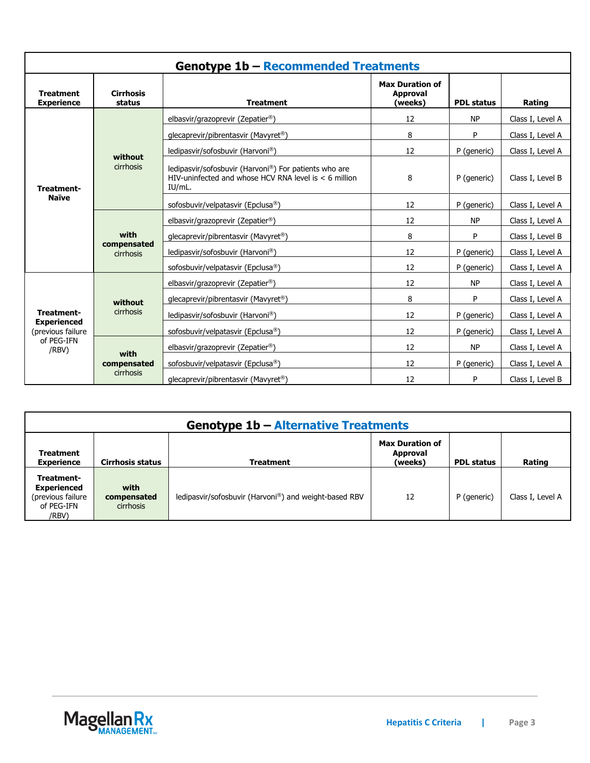| Genotype 1b - Recommended Treatments    |                                  |                                                                                                                            |                                                      |                   |                  |  |  |  |  |
|-----------------------------------------|----------------------------------|----------------------------------------------------------------------------------------------------------------------------|------------------------------------------------------|-------------------|------------------|--|--|--|--|
| <b>Treatment</b><br><b>Experience</b>   | <b>Cirrhosis</b><br>status       | <b>Treatment</b>                                                                                                           | <b>Max Duration of</b><br><b>Approval</b><br>(weeks) | <b>PDL status</b> | Rating           |  |  |  |  |
|                                         |                                  | elbasvir/grazoprevir (Zepatier®)                                                                                           | 12                                                   | <b>NP</b>         | Class I, Level A |  |  |  |  |
|                                         |                                  | glecaprevir/pibrentasvir (Mavyret <sup>®</sup> )                                                                           | 8                                                    | P                 | Class I, Level A |  |  |  |  |
|                                         | without                          | ledipasvir/sofosbuvir (Harvoni®)                                                                                           | 12                                                   | P (generic)       | Class I, Level A |  |  |  |  |
| Treatment-<br><b>Naïve</b>              | cirrhosis                        | ledipasvir/sofosbuvir (Harvoni®) For patients who are<br>HIV-uninfected and whose HCV RNA level is $<$ 6 million<br>IU/mL. | 8                                                    | P (generic)       | Class I, Level B |  |  |  |  |
|                                         |                                  | sofosbuvir/velpatasvir (Epclusa®)                                                                                          | 12                                                   | P (generic)       | Class I, Level A |  |  |  |  |
|                                         | with<br>compensated<br>cirrhosis | elbasvir/grazoprevir (Zepatier <sup>®</sup> )                                                                              | 12                                                   | <b>NP</b>         | Class I, Level A |  |  |  |  |
|                                         |                                  | glecaprevir/pibrentasvir (Mavyret®)                                                                                        | 8                                                    | P                 | Class I, Level B |  |  |  |  |
|                                         |                                  | ledipasvir/sofosbuvir (Harvoni®)                                                                                           | 12                                                   | P (generic)       | Class I, Level A |  |  |  |  |
|                                         |                                  | sofosbuvir/velpatasvir (Epclusa®)                                                                                          | 12                                                   | P (generic)       | Class I, Level A |  |  |  |  |
|                                         |                                  | elbasvir/grazoprevir (Zepatier <sup>®</sup> )                                                                              | 12                                                   | <b>NP</b>         | Class I, Level A |  |  |  |  |
|                                         | without                          | glecaprevir/pibrentasvir (Mavyret®)                                                                                        | 8                                                    | P                 | Class I, Level A |  |  |  |  |
| Treatment-                              | cirrhosis                        | ledipasvir/sofosbuvir (Harvoni®)                                                                                           | 12                                                   | P (generic)       | Class I, Level A |  |  |  |  |
| <b>Experienced</b><br>(previous failure |                                  | sofosbuvir/velpatasvir (Epclusa®)                                                                                          | 12                                                   | P (generic)       | Class I, Level A |  |  |  |  |
| of PEG-IFN<br>/RBV)                     |                                  | elbasvir/grazoprevir (Zepatier <sup>®</sup> )                                                                              | 12                                                   | <b>NP</b>         | Class I, Level A |  |  |  |  |
|                                         | with<br>compensated              | sofosbuvir/velpatasvir (Epclusa®)                                                                                          | 12                                                   | P (generic)       | Class I, Level A |  |  |  |  |
|                                         | cirrhosis                        | glecaprevir/pibrentasvir (Mavyret <sup>®</sup> )                                                                           | 12                                                   | P                 | Class I, Level B |  |  |  |  |

| <b>Genotype 1b - Alternative Treatments</b>                                  |                                         |                                                       |    |                   |                  |  |  |  |  |  |
|------------------------------------------------------------------------------|-----------------------------------------|-------------------------------------------------------|----|-------------------|------------------|--|--|--|--|--|
| <b>Treatment</b><br><b>Experience</b>                                        | <b>Cirrhosis status</b>                 | <b>Max Duration of</b><br><b>Treatment</b>            |    | <b>PDL status</b> | Rating           |  |  |  |  |  |
| Treatment-<br><b>Experienced</b><br>(previous failure<br>of PEG-IFN<br>/RBV) | with<br>compensated<br><b>cirrhosis</b> | ledipasvir/sofosbuvir (Harvoni®) and weight-based RBV | 12 | P (generic)       | Class I, Level A |  |  |  |  |  |

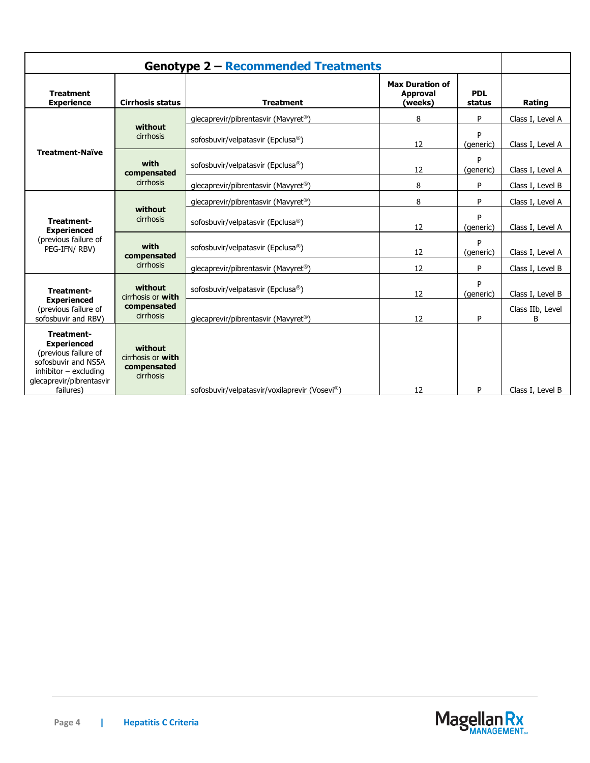| <b>Genotype 2 - Recommended Treatments</b>                                                                                                          |                                                          |                                                  |    |                      |                       |  |  |
|-----------------------------------------------------------------------------------------------------------------------------------------------------|----------------------------------------------------------|--------------------------------------------------|----|----------------------|-----------------------|--|--|
| <b>Treatment</b><br><b>Experience</b>                                                                                                               | <b>Cirrhosis status</b>                                  | <b>Treatment</b>                                 |    | <b>PDL</b><br>status | Rating                |  |  |
|                                                                                                                                                     |                                                          | qlecaprevir/pibrentasvir (Mavyret <sup>®</sup> ) | 8  | P                    | Class I, Level A      |  |  |
|                                                                                                                                                     | without<br>cirrhosis                                     | sofosbuvir/velpatasvir (Epclusa®)                | 12 | P<br>(generic)       | Class I, Level A      |  |  |
| <b>Treatment-Naïve</b>                                                                                                                              | with<br>compensated                                      | sofosbuvir/velpatasvir (Epclusa®)                | 12 | P<br>(generic)       | Class I, Level A      |  |  |
|                                                                                                                                                     | cirrhosis                                                | qlecaprevir/pibrentasvir (Mavyret <sup>®</sup> ) | 8  | P                    | Class I, Level B      |  |  |
|                                                                                                                                                     |                                                          | glecaprevir/pibrentasvir (Mavyret <sup>®</sup> ) | 8  | P                    | Class I, Level A      |  |  |
| Treatment-<br><b>Experienced</b>                                                                                                                    | without<br>cirrhosis                                     | sofosbuvir/velpatasvir (Epclusa®)                | 12 | P<br>(generic)       | Class I, Level A      |  |  |
| (previous failure of<br>PEG-IFN/RBV)                                                                                                                | with<br>compensated<br>cirrhosis                         | sofosbuvir/velpatasvir (Epclusa®)                | 12 | P<br>(generic)       | Class I, Level A      |  |  |
|                                                                                                                                                     |                                                          | glecaprevir/pibrentasvir (Mavyret <sup>®</sup> ) | 12 | P                    | Class I, Level B      |  |  |
| Treatment-                                                                                                                                          | without<br>cirrhosis or with<br>compensated<br>cirrhosis | sofosbuvir/velpatasvir (Epclusa®)                | 12 | P<br>(generic)       | Class I, Level B      |  |  |
| <b>Experienced</b><br>(previous failure of<br>sofosbuvir and RBV)                                                                                   |                                                          | qlecaprevir/pibrentasvir (Mavyret <sup>®</sup> ) | 12 | P                    | Class IIb, Level<br>В |  |  |
| Treatment-<br><b>Experienced</b><br>(previous failure of<br>sofosbuvir and NS5A<br>$inhibitor - excluding$<br>glecaprevir/pibrentasvir<br>failures) | without<br>cirrhosis or with<br>compensated<br>cirrhosis | sofosbuvir/velpatasvir/voxilaprevir (Vosevi®)    | 12 | P                    | Class I, Level B      |  |  |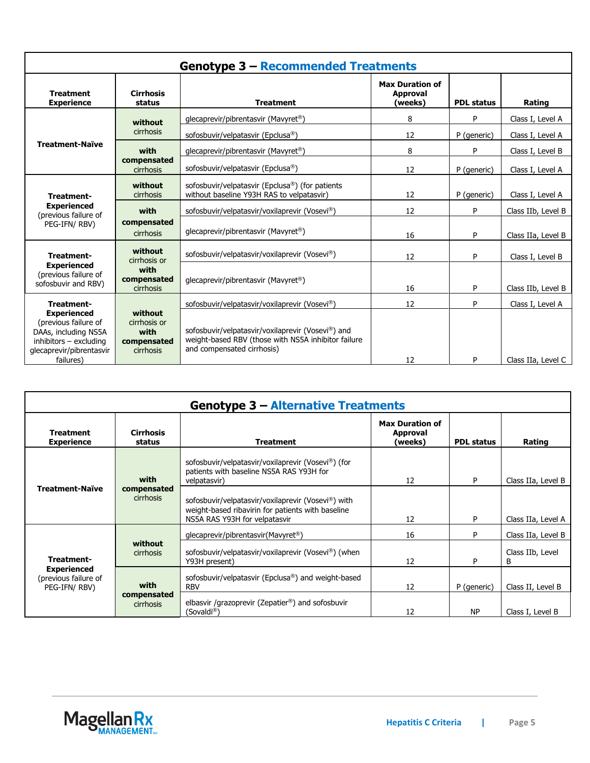| <b>Genotype 3 - Recommended Treatments</b>                                                                                              |                                                             |                                                                                                                                        |                                                      |                   |                    |  |  |  |  |
|-----------------------------------------------------------------------------------------------------------------------------------------|-------------------------------------------------------------|----------------------------------------------------------------------------------------------------------------------------------------|------------------------------------------------------|-------------------|--------------------|--|--|--|--|
| <b>Treatment</b><br><b>Experience</b>                                                                                                   | <b>Cirrhosis</b><br>status                                  | <b>Treatment</b>                                                                                                                       | <b>Max Duration of</b><br><b>Approval</b><br>(weeks) | <b>PDL status</b> | Rating             |  |  |  |  |
|                                                                                                                                         | without                                                     | glecaprevir/pibrentasvir (Mavyret®)                                                                                                    | 8                                                    | P                 | Class I, Level A   |  |  |  |  |
|                                                                                                                                         | cirrhosis                                                   | sofosbuvir/velpatasvir (Epclusa®)                                                                                                      | 12                                                   | P (generic)       | Class I, Level A   |  |  |  |  |
| <b>Treatment-Naïve</b>                                                                                                                  | with                                                        | glecaprevir/pibrentasvir (Mavyret®)                                                                                                    | 8                                                    | P                 | Class I, Level B   |  |  |  |  |
|                                                                                                                                         | compensated<br>cirrhosis                                    | sofosbuvir/velpatasvir (Epclusa®)                                                                                                      | 12                                                   | P (generic)       | Class I, Level A   |  |  |  |  |
| Treatment-                                                                                                                              | without<br>cirrhosis                                        | sofosbuvir/velpatasvir (Epclusa®) (for patients<br>without baseline Y93H RAS to velpatasvir)                                           | 12                                                   | P (generic)       | Class I, Level A   |  |  |  |  |
| <b>Experienced</b><br>(previous failure of                                                                                              | with                                                        | sofosbuvir/velpatasvir/voxilaprevir (Vosevi®)                                                                                          | 12                                                   | P                 | Class IIb, Level B |  |  |  |  |
| PEG-IFN/RBV)                                                                                                                            | compensated<br>cirrhosis                                    | glecaprevir/pibrentasvir (Mavyret <sup>®</sup> )                                                                                       | 16                                                   | P                 | Class IIa, Level B |  |  |  |  |
| Treatment-                                                                                                                              | without<br>cirrhosis or                                     | sofosbuvir/velpatasvir/voxilaprevir (Vosevi®)                                                                                          | 12                                                   | P                 | Class I, Level B   |  |  |  |  |
| <b>Experienced</b><br>(previous failure of<br>sofosbuvir and RBV)                                                                       | with<br>compensated<br>cirrhosis                            | glecaprevir/pibrentasvir (Mavyret <sup>®</sup> )                                                                                       | 16                                                   | P                 | Class IIb, Level B |  |  |  |  |
| Treatment-                                                                                                                              |                                                             | sofosbuvir/velpatasvir/voxilaprevir (Vosevi®)                                                                                          | 12                                                   | P                 | Class I, Level A   |  |  |  |  |
| <b>Experienced</b><br>(previous failure of<br>DAAs, including NS5A<br>$inhibitors - excluding$<br>glecaprevir/pibrentasvir<br>failures) | without<br>cirrhosis or<br>with<br>compensated<br>cirrhosis | sofosbuvir/velpatasvir/voxilaprevir (Vosevi®) and<br>weight-based RBV (those with NS5A inhibitor failure<br>and compensated cirrhosis) | 12                                                   | P                 | Class IIa, Level C |  |  |  |  |

| <b>Genotype 3 – Alternative Treatments</b>                               |                                  |                                                                                                                                                                                                                                                            |                                               |                          |                                             |  |  |  |  |  |
|--------------------------------------------------------------------------|----------------------------------|------------------------------------------------------------------------------------------------------------------------------------------------------------------------------------------------------------------------------------------------------------|-----------------------------------------------|--------------------------|---------------------------------------------|--|--|--|--|--|
| <b>Cirrhosis</b><br><b>Treatment</b><br><b>Experience</b><br>status      |                                  | <b>Treatment</b>                                                                                                                                                                                                                                           | <b>Max Duration of</b><br>Approval<br>(weeks) | <b>PDL status</b>        | Rating                                      |  |  |  |  |  |
| <b>Treatment-Naïve</b>                                                   | with<br>compensated<br>cirrhosis | sofosbuvir/velpatasvir/voxilaprevir (Vosevi®) (for<br>patients with baseline NS5A RAS Y93H for<br>velpatasvir)<br>sofosbuvir/velpatasvir/voxilaprevir (Vosevi®) with<br>weight-based ribavirin for patients with baseline<br>NS5A RAS Y93H for velpatasvir | 12<br>12                                      | P<br>P                   | Class IIa, Level B<br>Class IIa, Level A    |  |  |  |  |  |
| Treatment-<br><b>Experienced</b><br>(previous failure of<br>PEG-IFN/RBV) | without<br>cirrhosis             | glecaprevir/pibrentasvir(Mavyret <sup>®</sup> )<br>sofosbuvir/velpatasvir/voxilaprevir (Vosevi®) (when<br>Y93H present)                                                                                                                                    | 16<br>12                                      | P<br>P                   | Class IIa, Level B<br>Class IIb, Level<br>B |  |  |  |  |  |
|                                                                          | with<br>compensated<br>cirrhosis | sofosbuvir/velpatasvir (Epclusa®) and weight-based<br><b>RBV</b><br>elbasvir /grazoprevir (Zepatier®) and sofosbuvir<br>(Sovaldi®)                                                                                                                         | 12<br>12                                      | P (generic)<br><b>NP</b> | Class II, Level B<br>Class I. Level B       |  |  |  |  |  |

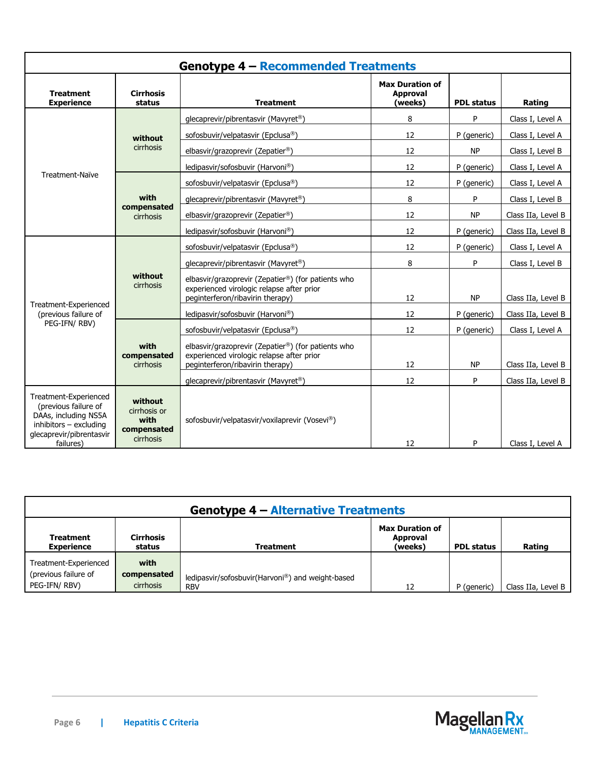| <b>Genotype 4 - Recommended Treatments</b>                                                                                               |                                                             |                                                                                                                                     |    |                   |                    |  |  |  |  |
|------------------------------------------------------------------------------------------------------------------------------------------|-------------------------------------------------------------|-------------------------------------------------------------------------------------------------------------------------------------|----|-------------------|--------------------|--|--|--|--|
| <b>Treatment</b><br><b>Experience</b>                                                                                                    | <b>Cirrhosis</b><br>status                                  | <b>Max Duration of</b><br><b>Approval</b><br><b>Treatment</b>                                                                       |    | <b>PDL status</b> | Rating             |  |  |  |  |
|                                                                                                                                          |                                                             | glecaprevir/pibrentasvir (Mavyret®)                                                                                                 | 8  | P                 | Class I, Level A   |  |  |  |  |
|                                                                                                                                          | without                                                     | sofosbuvir/velpatasvir (Epclusa®)                                                                                                   | 12 | P (generic)       | Class I, Level A   |  |  |  |  |
|                                                                                                                                          | cirrhosis                                                   | elbasvir/grazoprevir (Zepatier®)                                                                                                    | 12 | <b>NP</b>         | Class I, Level B   |  |  |  |  |
| Treatment-Naïve                                                                                                                          |                                                             | ledipasvir/sofosbuvir (Harvoni®)                                                                                                    | 12 | P (generic)       | Class I, Level A   |  |  |  |  |
|                                                                                                                                          |                                                             | sofosbuvir/velpatasvir (Epclusa®)                                                                                                   | 12 | P (generic)       | Class I, Level A   |  |  |  |  |
|                                                                                                                                          | with                                                        | glecaprevir/pibrentasvir (Mavyret®)                                                                                                 | 8  | P                 | Class I, Level B   |  |  |  |  |
|                                                                                                                                          | compensated<br>cirrhosis                                    | elbasvir/grazoprevir (Zepatier®)                                                                                                    | 12 | <b>NP</b>         | Class IIa, Level B |  |  |  |  |
|                                                                                                                                          |                                                             | ledipasvir/sofosbuvir (Harvoni®)                                                                                                    | 12 | P (generic)       | Class IIa, Level B |  |  |  |  |
|                                                                                                                                          | without<br>cirrhosis                                        | sofosbuvir/velpatasvir (Epclusa®)                                                                                                   | 12 | P (generic)       | Class I, Level A   |  |  |  |  |
|                                                                                                                                          |                                                             | glecaprevir/pibrentasvir (Mavyret®)                                                                                                 | 8  | P                 | Class I, Level B   |  |  |  |  |
|                                                                                                                                          |                                                             | elbasvir/grazoprevir (Zepatier®) (for patients who<br>experienced virologic relapse after prior<br>peginterferon/ribavirin therapy) | 12 | <b>NP</b>         | Class IIa, Level B |  |  |  |  |
| Treatment-Experienced<br>(previous failure of                                                                                            |                                                             | ledipasvir/sofosbuvir (Harvoni®)                                                                                                    | 12 | P (generic)       | Class IIa, Level B |  |  |  |  |
| PEG-IFN/RBV)                                                                                                                             |                                                             | sofosbuvir/velpatasvir (Epclusa®)                                                                                                   | 12 | P (generic)       | Class I, Level A   |  |  |  |  |
|                                                                                                                                          | with<br>compensated<br>cirrhosis                            | elbasvir/grazoprevir (Zepatier®) (for patients who<br>experienced virologic relapse after prior<br>peginterferon/ribavirin therapy) | 12 | <b>NP</b>         | Class IIa, Level B |  |  |  |  |
|                                                                                                                                          |                                                             | glecaprevir/pibrentasvir (Mavyret®)                                                                                                 | 12 | P                 | Class IIa, Level B |  |  |  |  |
| Treatment-Experienced<br>(previous failure of<br>DAAs, including NS5A<br>inhibitors - excluding<br>glecaprevir/pibrentasvir<br>failures) | without<br>cirrhosis or<br>with<br>compensated<br>cirrhosis | sofosbuvir/velpatasvir/voxilaprevir (Vosevi®)                                                                                       | 12 | P                 | Class I. Level A   |  |  |  |  |

| <b>Genotype 4 - Alternative Treatments</b>                    |                                  |                                                                |                                               |                   |                    |  |  |  |  |  |
|---------------------------------------------------------------|----------------------------------|----------------------------------------------------------------|-----------------------------------------------|-------------------|--------------------|--|--|--|--|--|
| <b>Treatment</b><br><b>Experience</b>                         | <b>Cirrhosis</b><br>status       | Treatment                                                      | <b>Max Duration of</b><br>Approval<br>(weeks) | <b>PDL status</b> | Rating             |  |  |  |  |  |
| Treatment-Experienced<br>(previous failure of<br>PEG-IFN/RBV) | with<br>compensated<br>cirrhosis | ledipasvir/sofosbuvir(Harvoni®) and weight-based<br><b>RBV</b> | 12                                            | P (generic)       | Class IIa, Level B |  |  |  |  |  |

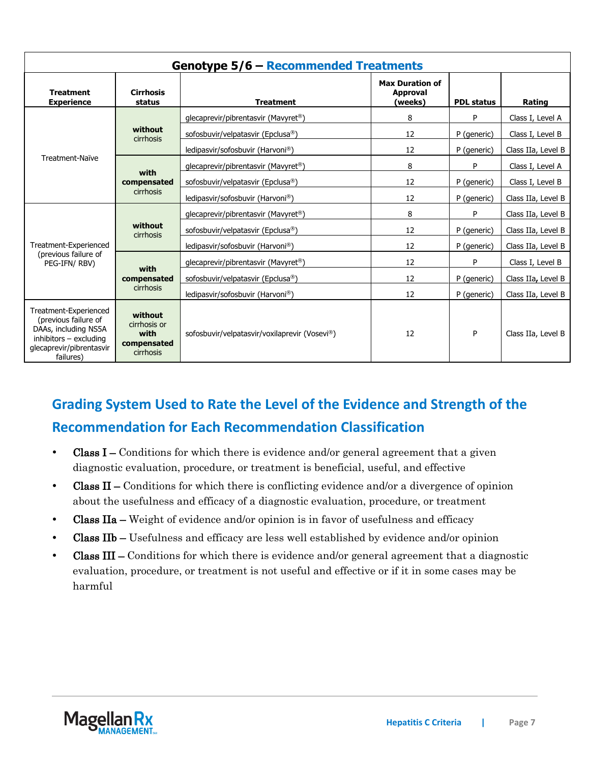| Genotype 5/6 - Recommended Treatments                                                                                                    |                                                                    |                                                  |                                                      |                   |                    |  |  |  |  |
|------------------------------------------------------------------------------------------------------------------------------------------|--------------------------------------------------------------------|--------------------------------------------------|------------------------------------------------------|-------------------|--------------------|--|--|--|--|
| <b>Treatment</b><br><b>Experience</b>                                                                                                    | <b>Cirrhosis</b><br>status                                         | <b>Treatment</b>                                 | <b>Max Duration of</b><br><b>Approval</b><br>(weeks) | <b>PDL status</b> | Rating             |  |  |  |  |
|                                                                                                                                          |                                                                    | glecaprevir/pibrentasvir (Mavyret <sup>®</sup> ) | 8                                                    | P                 | Class I, Level A   |  |  |  |  |
|                                                                                                                                          | without<br>cirrhosis                                               | sofosbuvir/velpatasvir (Epclusa®)                | 12                                                   | P (generic)       | Class I, Level B   |  |  |  |  |
|                                                                                                                                          |                                                                    | ledipasvir/sofosbuvir (Harvoni®)                 | 12                                                   | P (generic)       | Class IIa, Level B |  |  |  |  |
| Treatment-Naïve                                                                                                                          |                                                                    | glecaprevir/pibrentasvir (Mavyret <sup>®</sup> ) | 8                                                    | P                 | Class I, Level A   |  |  |  |  |
|                                                                                                                                          | with<br>compensated<br>cirrhosis                                   | sofosbuvir/velpatasvir (Epclusa®)                | 12                                                   | P (generic)       | Class I, Level B   |  |  |  |  |
|                                                                                                                                          |                                                                    | ledipasvir/sofosbuvir (Harvoni®)                 | 12                                                   | P (generic)       | Class IIa, Level B |  |  |  |  |
|                                                                                                                                          | without<br>cirrhosis                                               | glecaprevir/pibrentasvir (Mavyret®)              | 8                                                    | P                 | Class IIa, Level B |  |  |  |  |
|                                                                                                                                          |                                                                    | sofosbuvir/velpatasvir (Epclusa®)                | 12                                                   | P (generic)       | Class IIa, Level B |  |  |  |  |
| Treatment-Experienced                                                                                                                    |                                                                    | ledipasvir/sofosbuvir (Harvoni®)                 | 12                                                   | P (generic)       | Class IIa, Level B |  |  |  |  |
| (previous failure of<br>PEG-IFN/RBV)                                                                                                     | with                                                               | glecaprevir/pibrentasvir (Mavyret <sup>®</sup> ) | 12                                                   | P                 | Class I, Level B   |  |  |  |  |
|                                                                                                                                          | compensated                                                        | sofosbuvir/velpatasvir (Epclusa®)                | 12                                                   | P (generic)       | Class IIa, Level B |  |  |  |  |
|                                                                                                                                          | cirrhosis                                                          | ledipasvir/sofosbuvir (Harvoni®)                 | 12                                                   | P (generic)       | Class IIa, Level B |  |  |  |  |
| Treatment-Experienced<br>(previous failure of<br>DAAs, including NS5A<br>inhibitors - excluding<br>glecaprevir/pibrentasvir<br>failures) | without<br>cirrhosis or<br>with<br>compensated<br><b>cirrhosis</b> | sofosbuvir/velpatasvir/voxilaprevir (Vosevi®)    | 12                                                   | P                 | Class IIa, Level B |  |  |  |  |

## **Grading System Used to Rate the Level of the Evidence and Strength of the Recommendation for Each Recommendation Classification**

- **Class I** Conditions for which there is evidence and/or general agreement that a given diagnostic evaluation, procedure, or treatment is beneficial, useful, and effective
- Class  $II$  Conditions for which there is conflicting evidence and/or a divergence of opinion about the usefulness and efficacy of a diagnostic evaluation, procedure, or treatment
- Class IIa Weight of evidence and/or opinion is in favor of usefulness and efficacy
- Class IIb Usefulness and efficacy are less well established by evidence and/or opinion
- Class III Conditions for which there is evidence and/or general agreement that a diagnostic evaluation, procedure, or treatment is not useful and effective or if it in some cases may be harmful

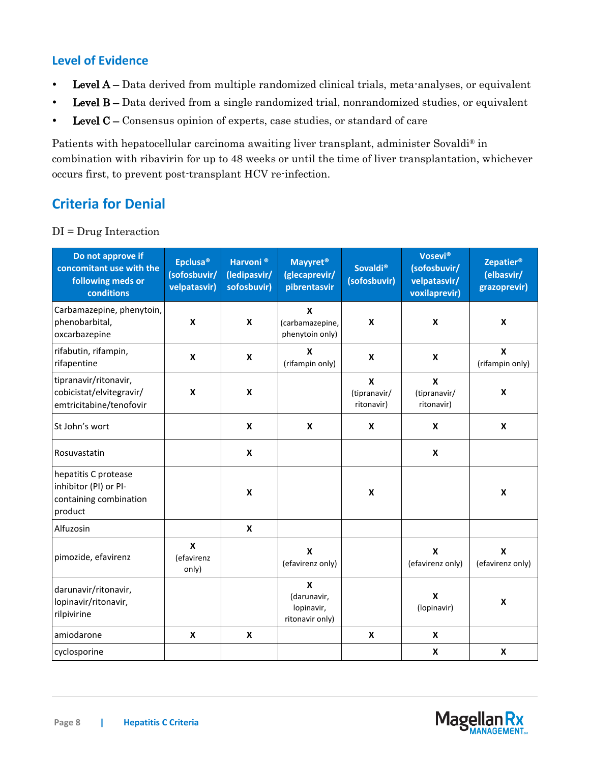#### **Level of Evidence**

- Level A Data derived from multiple randomized clinical trials, meta-analyses, or equivalent
- Level B Data derived from a single randomized trial, nonrandomized studies, or equivalent
- Level C Consensus opinion of experts, case studies, or standard of care

Patients with hepatocellular carcinoma awaiting liver transplant, administer Sovaldi® in combination with ribavirin for up to 48 weeks or until the time of liver transplantation, whichever occurs first, to prevent post-transplant HCV re-infection.

### **Criteria for Denial**

#### DI = Drug Interaction

| Do not approve if<br>concomitant use with the<br>following meds or<br>conditions   | Epclusa <sup>®</sup><br>(sofosbuvir/<br>velpatasvir) | Harvoni <sup>®</sup><br>(ledipasvir/<br>sofosbuvir) | <b>Mayyret<sup>®</sup></b><br>(glecaprevir/<br>pibrentasvir | <b>Sovaldi®</b><br>(sofosbuvir)           | Vosevi®<br>(sofosbuvir/<br>velpatasvir/<br>voxilaprevir) | Zepatier <sup>®</sup><br>(elbasvir/<br>grazoprevir) |
|------------------------------------------------------------------------------------|------------------------------------------------------|-----------------------------------------------------|-------------------------------------------------------------|-------------------------------------------|----------------------------------------------------------|-----------------------------------------------------|
| Carbamazepine, phenytoin,<br>phenobarbital,<br>oxcarbazepine                       | $\mathbf x$                                          | X                                                   | $\boldsymbol{x}$<br>(carbamazepine,<br>phenytoin only)      | X                                         | $\boldsymbol{x}$                                         | X                                                   |
| rifabutin, rifampin,<br>rifapentine                                                | $\boldsymbol{x}$                                     | X                                                   | $\boldsymbol{x}$<br>(rifampin only)                         | X                                         | X                                                        | $\mathbf x$<br>(rifampin only)                      |
| tipranavir/ritonavir,<br>cobicistat/elvitegravir/<br>emtricitabine/tenofovir       | $\boldsymbol{x}$                                     | X                                                   |                                                             | $\mathbf x$<br>(tipranavir/<br>ritonavir) | $\boldsymbol{\mathsf{x}}$<br>(tipranavir/<br>ritonavir)  | X                                                   |
| St John's wort                                                                     |                                                      | X                                                   | $\boldsymbol{\mathsf{x}}$                                   | X                                         | X                                                        | $\mathbf x$                                         |
| Rosuvastatin                                                                       |                                                      | X                                                   |                                                             |                                           | X                                                        |                                                     |
| hepatitis C protease<br>inhibitor (PI) or PI-<br>containing combination<br>product |                                                      | X                                                   |                                                             | X                                         |                                                          | $\pmb{\mathsf{x}}$                                  |
| Alfuzosin                                                                          |                                                      | X                                                   |                                                             |                                           |                                                          |                                                     |
| pimozide, efavirenz                                                                | $\boldsymbol{\mathsf{x}}$<br>(efavirenz<br>only)     |                                                     | $\boldsymbol{x}$<br>(efavirenz only)                        |                                           | $\boldsymbol{x}$<br>(efavirenz only)                     | X<br>(efavirenz only)                               |
| darunavir/ritonavir,<br>lopinavir/ritonavir,<br>rilpivirine                        |                                                      |                                                     | X<br>(darunavir,<br>lopinavir,<br>ritonavir only)           |                                           | $\boldsymbol{x}$<br>(lopinavir)                          | $\pmb{\mathsf{X}}$                                  |
| amiodarone                                                                         | $\boldsymbol{\mathsf{x}}$                            | $\boldsymbol{x}$                                    |                                                             | $\mathsf{x}$                              | $\mathbf{x}$                                             |                                                     |
| cyclosporine                                                                       |                                                      |                                                     |                                                             |                                           | $\boldsymbol{x}$                                         | $\mathbf x$                                         |

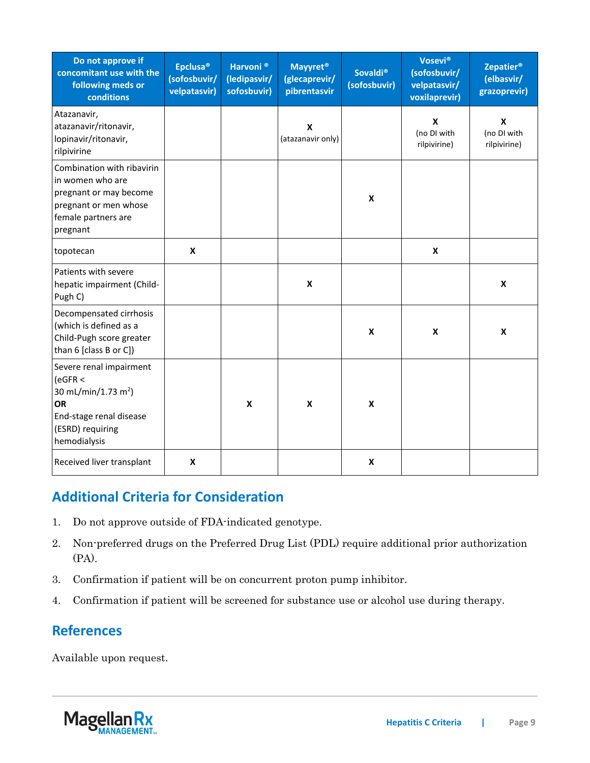| Do not approve if<br>concomitant use with the<br>following meds or<br><b>conditions</b>                                                           | Epclusa <sup>®</sup><br>(sofosbuvir/<br>velpatasvir) | Harvoni <sup>®</sup><br>(ledipasvir/<br>sofosbuvir) | <b>Mayyret<sup>®</sup></b><br>(glecaprevir/<br>pibrentasvir | <b>Sovaldi®</b><br>(sofosbuvir) | Vosevi <sup>®</sup><br>(sofosbuvir/<br>velpatasvir/<br>voxilaprevir) | <b>Zepatier<sup>®</sup></b><br>(elbasvir/<br>grazoprevir) |
|---------------------------------------------------------------------------------------------------------------------------------------------------|------------------------------------------------------|-----------------------------------------------------|-------------------------------------------------------------|---------------------------------|----------------------------------------------------------------------|-----------------------------------------------------------|
| Atazanavir,<br>atazanavir/ritonavir,<br>lopinavir/ritonavir,<br>rilpivirine                                                                       |                                                      |                                                     | X<br>(atazanavir only)                                      |                                 | X<br>(no DI with<br>rilpivirine)                                     | X<br>(no DI with<br>rilpivirine)                          |
| Combination with ribavirin<br>in women who are<br>pregnant or may become<br>pregnant or men whose<br>female partners are<br>pregnant              |                                                      |                                                     |                                                             | $\pmb{\times}$                  |                                                                      |                                                           |
| topotecan                                                                                                                                         | X                                                    |                                                     |                                                             |                                 | X                                                                    |                                                           |
| Patients with severe<br>hepatic impairment (Child-<br>Pugh C)                                                                                     |                                                      |                                                     | $\boldsymbol{\mathsf{x}}$                                   |                                 |                                                                      | $\boldsymbol{\mathsf{x}}$                                 |
| Decompensated cirrhosis<br>(which is defined as a<br>Child-Pugh score greater<br>than 6 [class B or C])                                           |                                                      |                                                     |                                                             | X                               | X                                                                    | X                                                         |
| Severe renal impairment<br>(eGFR <<br>30 mL/min/1.73 m <sup>2</sup> )<br><b>OR</b><br>End-stage renal disease<br>(ESRD) requiring<br>hemodialysis |                                                      | X                                                   | $\boldsymbol{\mathsf{x}}$                                   | X                               |                                                                      |                                                           |
| Received liver transplant                                                                                                                         | $\mathbf x$                                          |                                                     |                                                             | X                               |                                                                      |                                                           |

### **Additional Criteria for Consideration**

- 1. Do not approve outside of FDA-indicated genotype.
- 2. Non-preferred drugs on the Preferred Drug List (PDL) require additional prior authorization (PA).
- 3. Confirmation if patient will be on concurrent proton pump inhibitor.
- 4. Confirmation if patient will be screened for substance use or alcohol use during therapy.

### **References**

Available upon request.